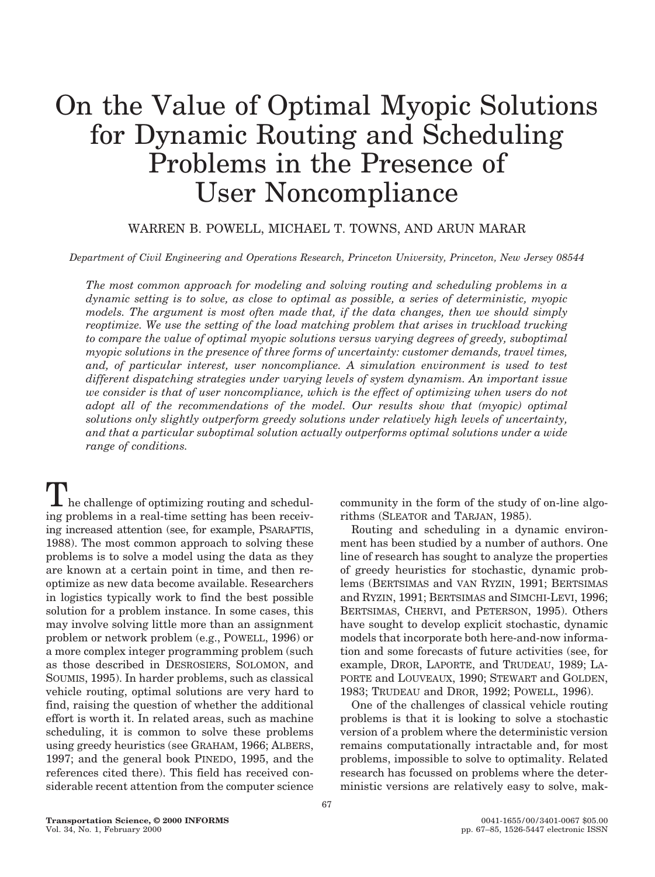# On the Value of Optimal Myopic Solutions for Dynamic Routing and Scheduling Problems in the Presence of User Noncompliance

# WARREN B. POWELL, MICHAEL T. TOWNS, AND ARUN MARAR

*Department of Civil Engineering and Operations Research, Princeton University, Princeton, New Jersey 08544*

*The most common approach for modeling and solving routing and scheduling problems in a dynamic setting is to solve, as close to optimal as possible, a series of deterministic, myopic models. The argument is most often made that, if the data changes, then we should simply reoptimize. We use the setting of the load matching problem that arises in truckload trucking to compare the value of optimal myopic solutions versus varying degrees of greedy, suboptimal myopic solutions in the presence of three forms of uncertainty: customer demands, travel times, and, of particular interest, user noncompliance. A simulation environment is used to test different dispatching strategies under varying levels of system dynamism. An important issue we consider is that of user noncompliance, which is the effect of optimizing when users do not adopt all of the recommendations of the model. Our results show that (myopic) optimal solutions only slightly outperform greedy solutions under relatively high levels of uncertainty, and that a particular suboptimal solution actually outperforms optimal solutions under a wide range of conditions.*

he challenge of optimizing routing and scheduling problems in a real-time setting has been receiving increased attention (see, for example, PSARAFTIS, 1988). The most common approach to solving these problems is to solve a model using the data as they are known at a certain point in time, and then reoptimize as new data become available. Researchers in logistics typically work to find the best possible solution for a problem instance. In some cases, this may involve solving little more than an assignment problem or network problem (e.g., POWELL, 1996) or a more complex integer programming problem (such as those described in DESROSIERS, SOLOMON, and SOUMIS, 1995). In harder problems, such as classical vehicle routing, optimal solutions are very hard to find, raising the question of whether the additional effort is worth it. In related areas, such as machine scheduling, it is common to solve these problems using greedy heuristics (see GRAHAM, 1966; ALBERS, 1997; and the general book PINEDO, 1995, and the references cited there). This field has received considerable recent attention from the computer science

community in the form of the study of on-line algorithms (SLEATOR and TARJAN, 1985).

Routing and scheduling in a dynamic environment has been studied by a number of authors. One line of research has sought to analyze the properties of greedy heuristics for stochastic, dynamic problems (BERTSIMAS and VAN RYZIN, 1991; BERTSIMAS and RYZIN, 1991; BERTSIMAS and SIMCHI-LEVI, 1996; BERTSIMAS, CHERVI, and PETERSON, 1995). Others have sought to develop explicit stochastic, dynamic models that incorporate both here-and-now information and some forecasts of future activities (see, for example, DROR, LAPORTE, and TRUDEAU, 1989; LA-PORTE and LOUVEAUX, 1990; STEWART and GOLDEN, 1983; TRUDEAU and DROR, 1992; POWELL, 1996).

One of the challenges of classical vehicle routing problems is that it is looking to solve a stochastic version of a problem where the deterministic version remains computationally intractable and, for most problems, impossible to solve to optimality. Related research has focussed on problems where the deterministic versions are relatively easy to solve, mak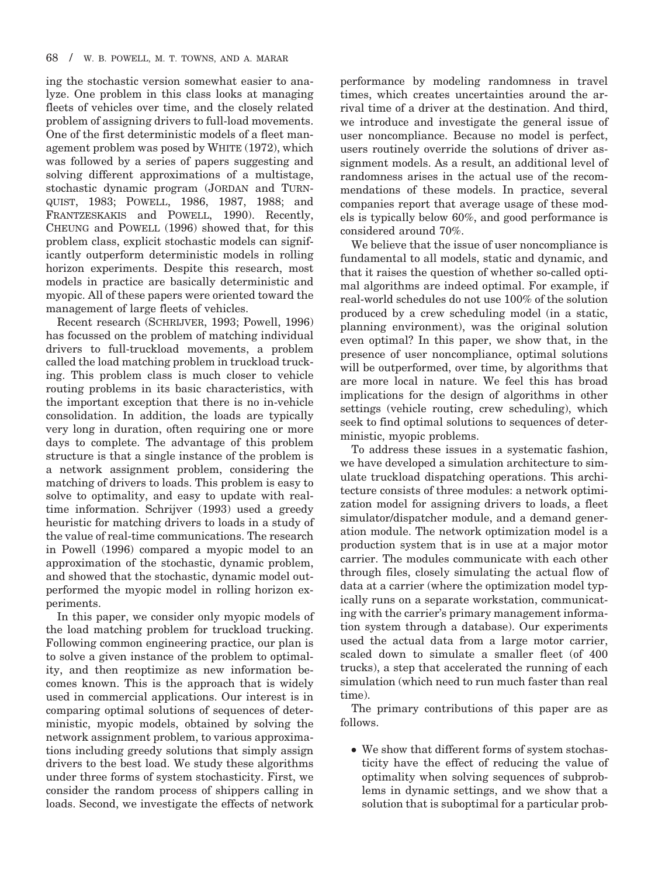ing the stochastic version somewhat easier to analyze. One problem in this class looks at managing fleets of vehicles over time, and the closely related problem of assigning drivers to full-load movements. One of the first deterministic models of a fleet management problem was posed by WHITE (1972), which was followed by a series of papers suggesting and solving different approximations of a multistage, stochastic dynamic program (JORDAN and TURN-QUIST, 1983; POWELL, 1986, 1987, 1988; and FRANTZESKAKIS and POWELL, 1990). Recently, CHEUNG and POWELL (1996) showed that, for this problem class, explicit stochastic models can significantly outperform deterministic models in rolling horizon experiments. Despite this research, most models in practice are basically deterministic and myopic. All of these papers were oriented toward the management of large fleets of vehicles.

Recent research (SCHRIJVER, 1993; Powell, 1996) has focussed on the problem of matching individual drivers to full-truckload movements, a problem called the load matching problem in truckload trucking. This problem class is much closer to vehicle routing problems in its basic characteristics, with the important exception that there is no in-vehicle consolidation. In addition, the loads are typically very long in duration, often requiring one or more days to complete. The advantage of this problem structure is that a single instance of the problem is a network assignment problem, considering the matching of drivers to loads. This problem is easy to solve to optimality, and easy to update with realtime information. Schrijver (1993) used a greedy heuristic for matching drivers to loads in a study of the value of real-time communications. The research in Powell (1996) compared a myopic model to an approximation of the stochastic, dynamic problem, and showed that the stochastic, dynamic model outperformed the myopic model in rolling horizon experiments.

In this paper, we consider only myopic models of the load matching problem for truckload trucking. Following common engineering practice, our plan is to solve a given instance of the problem to optimality, and then reoptimize as new information becomes known. This is the approach that is widely used in commercial applications. Our interest is in comparing optimal solutions of sequences of deterministic, myopic models, obtained by solving the network assignment problem, to various approximations including greedy solutions that simply assign drivers to the best load. We study these algorithms under three forms of system stochasticity. First, we consider the random process of shippers calling in loads. Second, we investigate the effects of network

performance by modeling randomness in travel times, which creates uncertainties around the arrival time of a driver at the destination. And third, we introduce and investigate the general issue of user noncompliance. Because no model is perfect, users routinely override the solutions of driver assignment models. As a result, an additional level of randomness arises in the actual use of the recommendations of these models. In practice, several companies report that average usage of these models is typically below 60%, and good performance is considered around 70%.

We believe that the issue of user noncompliance is fundamental to all models, static and dynamic, and that it raises the question of whether so-called optimal algorithms are indeed optimal. For example, if real-world schedules do not use 100% of the solution produced by a crew scheduling model (in a static, planning environment), was the original solution even optimal? In this paper, we show that, in the presence of user noncompliance, optimal solutions will be outperformed, over time, by algorithms that are more local in nature. We feel this has broad implications for the design of algorithms in other settings (vehicle routing, crew scheduling), which seek to find optimal solutions to sequences of deterministic, myopic problems.

To address these issues in a systematic fashion, we have developed a simulation architecture to simulate truckload dispatching operations. This architecture consists of three modules: a network optimization model for assigning drivers to loads, a fleet simulator/dispatcher module, and a demand generation module. The network optimization model is a production system that is in use at a major motor carrier. The modules communicate with each other through files, closely simulating the actual flow of data at a carrier (where the optimization model typically runs on a separate workstation, communicating with the carrier's primary management information system through a database). Our experiments used the actual data from a large motor carrier, scaled down to simulate a smaller fleet (of 400 trucks), a step that accelerated the running of each simulation (which need to run much faster than real time).

The primary contributions of this paper are as follows.

• We show that different forms of system stochasticity have the effect of reducing the value of optimality when solving sequences of subproblems in dynamic settings, and we show that a solution that is suboptimal for a particular prob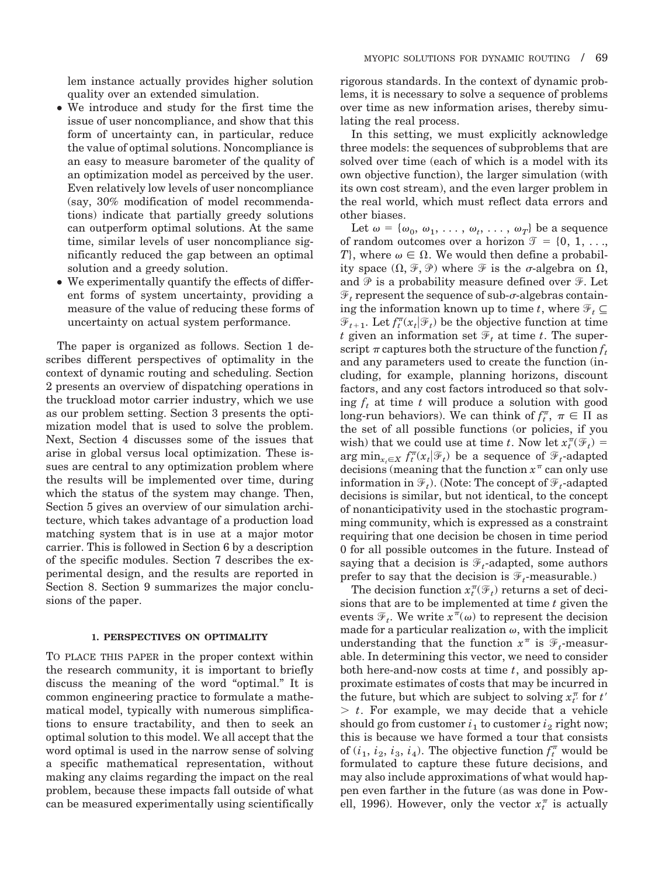lem instance actually provides higher solution quality over an extended simulation.

- We introduce and study for the first time the issue of user noncompliance, and show that this form of uncertainty can, in particular, reduce the value of optimal solutions. Noncompliance is an easy to measure barometer of the quality of an optimization model as perceived by the user. Even relatively low levels of user noncompliance (say, 30% modification of model recommendations) indicate that partially greedy solutions can outperform optimal solutions. At the same time, similar levels of user noncompliance significantly reduced the gap between an optimal solution and a greedy solution.
- We experimentally quantify the effects of different forms of system uncertainty, providing a measure of the value of reducing these forms of uncertainty on actual system performance.

The paper is organized as follows. Section 1 describes different perspectives of optimality in the context of dynamic routing and scheduling. Section 2 presents an overview of dispatching operations in the truckload motor carrier industry, which we use as our problem setting. Section 3 presents the optimization model that is used to solve the problem. Next, Section 4 discusses some of the issues that arise in global versus local optimization. These issues are central to any optimization problem where the results will be implemented over time, during which the status of the system may change. Then, Section 5 gives an overview of our simulation architecture, which takes advantage of a production load matching system that is in use at a major motor carrier. This is followed in Section 6 by a description of the specific modules. Section 7 describes the experimental design, and the results are reported in Section 8. Section 9 summarizes the major conclusions of the paper.

# **1. PERSPECTIVES ON OPTIMALITY**

TO PLACE THIS PAPER in the proper context within the research community, it is important to briefly discuss the meaning of the word "optimal." It is common engineering practice to formulate a mathematical model, typically with numerous simplifications to ensure tractability, and then to seek an optimal solution to this model. We all accept that the word optimal is used in the narrow sense of solving a specific mathematical representation, without making any claims regarding the impact on the real problem, because these impacts fall outside of what can be measured experimentally using scientifically

rigorous standards. In the context of dynamic problems, it is necessary to solve a sequence of problems over time as new information arises, thereby simulating the real process.

In this setting, we must explicitly acknowledge three models: the sequences of subproblems that are solved over time (each of which is a model with its own objective function), the larger simulation (with its own cost stream), and the even larger problem in the real world, which must reflect data errors and other biases.

Let  $\omega = {\omega_0, \omega_1, \ldots, \omega_t, \ldots, \omega_T}$  be a sequence of random outcomes over a horizon  $\mathcal{T} = \{0, 1, \ldots\}$ *T*}, where  $\omega \in \Omega$ . We would then define a probability space  $(\Omega, \mathcal{F}, \mathcal{P})$  where  $\mathcal F$  is the *σ*-algebra on  $\Omega$ , and  $\mathcal P$  is a probability measure defined over  $\mathcal F$ . Let  $\mathcal{F}_t$  represent the sequence of sub- $\sigma$ -algebras containing the information known up to time *t*, where  $\mathcal{F}_t \subseteq$  $\mathcal{F}_{t+1}$ . Let  $f_t^{\pi}(\mathcal{x}_t | \mathcal{F}_t)$  be the objective function at time *t* given an information set  $\mathcal{F}_t$  at time *t*. The superscript  $\pi$  captures both the structure of the function  $f_t$ and any parameters used to create the function (including, for example, planning horizons, discount factors, and any cost factors introduced so that solving  $f_t$  at time  $t$  will produce a solution with good long-run behaviors). We can think of  $f_t^\pi$ ,  $\pi \in \Pi$  as the set of all possible functions (or policies, if you wish) that we could use at time *t*. Now let  $x_t^{\pi}(\mathcal{F}_t) =$  $\arg \min_{x_t \in X} f_t^{\pi}(x_t | \mathcal{F}_t)$  be a sequence of  $\mathcal{F}_t$ -adapted decisions (meaning that the function  $x^{\pi}$  can only use  $\inf \{ \mathcal{F}_t \}$ . (Note: The concept of  $\mathcal{F}_t$ -adapted decisions is similar, but not identical, to the concept of nonanticipativity used in the stochastic programming community, which is expressed as a constraint requiring that one decision be chosen in time period 0 for all possible outcomes in the future. Instead of saying that a decision is  $\mathcal{F}_t$ -adapted, some authors prefer to say that the decision is  $\mathcal{F}_t$ -measurable.)

The decision function  $x_t^\pi(\mathcal{F}_t)$  returns a set of decisions that are to be implemented at time *t* given the events  $\mathcal{F}_t$ . We write  $x^{\pi}(\omega)$  to represent the decision made for a particular realization  $\omega$ , with the implicit understanding that the function  $x^{\pi}$  is  $\mathcal{F}_t$ -measurable. In determining this vector, we need to consider both here-and-now costs at time *t*, and possibly approximate estimates of costs that may be incurred in the future, but which are subject to solving  $x_t^{\pi}$  for  $t'$  $> t$ . For example, we may decide that a vehicle should go from customer  $i_1$  to customer  $i_2$  right now; this is because we have formed a tour that consists of  $(i_1, i_2, i_3, i_4)$ . The objective function  $f_t^{\pi}$  would be formulated to capture these future decisions, and may also include approximations of what would happen even farther in the future (as was done in Powell, 1996). However, only the vector  $x_t^{\pi}$  is actually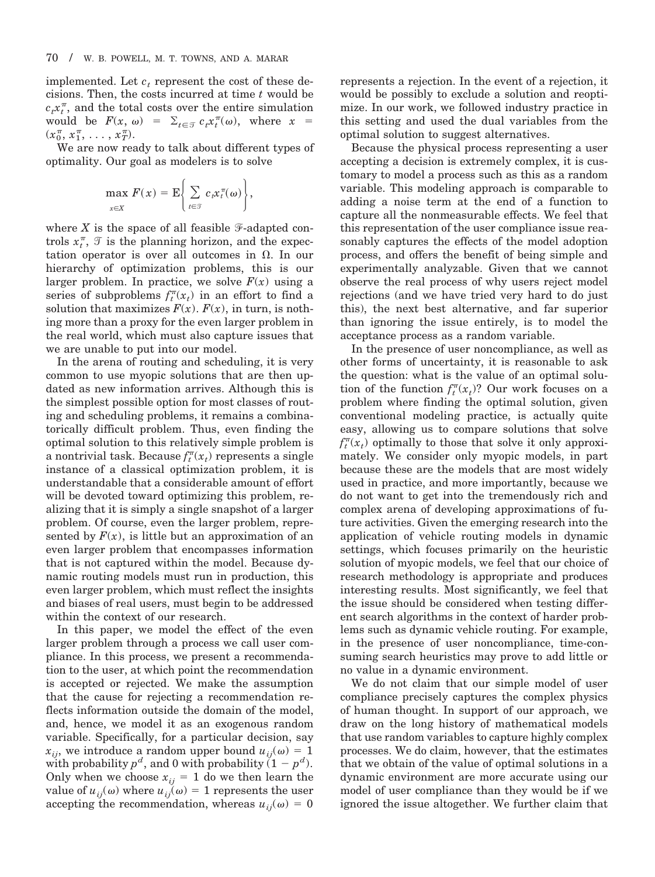implemented. Let  $c_t$  represent the cost of these decisions. Then, the costs incurred at time *t* would be  $c_t x_t^{\pi}$ , and the total costs over the entire simulation would be  $F(x, \omega) = \sum_{t \in \mathcal{T}} c_t x_t^{\pi}(\omega)$ , where  $x =$  $(x_0^{\pi}, x_1^{\pi}, \ldots, x_T^{\pi}).$ 

We are now ready to talk about different types of optimality. Our goal as modelers is to solve

$$
\max_{x \in X} F(x) = \mathbf{E} \bigg\{ \sum_{t \in \mathcal{T}} c_t x_t^{\pi}(\omega) \bigg\},
$$

where  $X$  is the space of all feasible  $\mathcal F$ -adapted controls  $x_t^{\pi}$ ,  $\mathcal{T}$  is the planning horizon, and the expectation operator is over all outcomes in  $\Omega$ . In our hierarchy of optimization problems, this is our larger problem. In practice, we solve  $F(x)$  using a series of subproblems  $f_t^{\pi}(x_t)$  in an effort to find a solution that maximizes  $F(x)$ .  $F(x)$ , in turn, is nothing more than a proxy for the even larger problem in the real world, which must also capture issues that we are unable to put into our model.

In the arena of routing and scheduling, it is very common to use myopic solutions that are then updated as new information arrives. Although this is the simplest possible option for most classes of routing and scheduling problems, it remains a combinatorically difficult problem. Thus, even finding the optimal solution to this relatively simple problem is a nontrivial task. Because  $f_t^{\pi}(x_t)$  represents a single instance of a classical optimization problem, it is understandable that a considerable amount of effort will be devoted toward optimizing this problem, realizing that it is simply a single snapshot of a larger problem. Of course, even the larger problem, represented by  $F(x)$ , is little but an approximation of an even larger problem that encompasses information that is not captured within the model. Because dynamic routing models must run in production, this even larger problem, which must reflect the insights and biases of real users, must begin to be addressed within the context of our research.

In this paper, we model the effect of the even larger problem through a process we call user compliance. In this process, we present a recommendation to the user, at which point the recommendation is accepted or rejected. We make the assumption that the cause for rejecting a recommendation reflects information outside the domain of the model, and, hence, we model it as an exogenous random variable. Specifically, for a particular decision, say  $x_{ii}$ , we introduce a random upper bound  $u_{ii}(\omega) = 1$ with probability  $p^d$ , and 0 with probability  $(1 - p^d)$ . Only when we choose  $x_{ij} = 1$  do we then learn the value of  $u_{ii}(\omega)$  where  $u_{ii}(\omega) = 1$  represents the user accepting the recommendation, whereas  $u_{ii}(\omega) = 0$  represents a rejection. In the event of a rejection, it would be possibly to exclude a solution and reoptimize. In our work, we followed industry practice in this setting and used the dual variables from the optimal solution to suggest alternatives.

Because the physical process representing a user accepting a decision is extremely complex, it is customary to model a process such as this as a random variable. This modeling approach is comparable to adding a noise term at the end of a function to capture all the nonmeasurable effects. We feel that this representation of the user compliance issue reasonably captures the effects of the model adoption process, and offers the benefit of being simple and experimentally analyzable. Given that we cannot observe the real process of why users reject model rejections (and we have tried very hard to do just this), the next best alternative, and far superior than ignoring the issue entirely, is to model the acceptance process as a random variable.

In the presence of user noncompliance, as well as other forms of uncertainty, it is reasonable to ask the question: what is the value of an optimal solution of the function  $f_t^{\pi}(x_t)$ ? Our work focuses on a problem where finding the optimal solution, given conventional modeling practice, is actually quite easy, allowing us to compare solutions that solve  $f_t^{\pi}(x_t)$  optimally to those that solve it only approximately. We consider only myopic models, in part because these are the models that are most widely used in practice, and more importantly, because we do not want to get into the tremendously rich and complex arena of developing approximations of future activities. Given the emerging research into the application of vehicle routing models in dynamic settings, which focuses primarily on the heuristic solution of myopic models, we feel that our choice of research methodology is appropriate and produces interesting results. Most significantly, we feel that the issue should be considered when testing different search algorithms in the context of harder problems such as dynamic vehicle routing. For example, in the presence of user noncompliance, time-consuming search heuristics may prove to add little or no value in a dynamic environment.

We do not claim that our simple model of user compliance precisely captures the complex physics of human thought. In support of our approach, we draw on the long history of mathematical models that use random variables to capture highly complex processes. We do claim, however, that the estimates that we obtain of the value of optimal solutions in a dynamic environment are more accurate using our model of user compliance than they would be if we ignored the issue altogether. We further claim that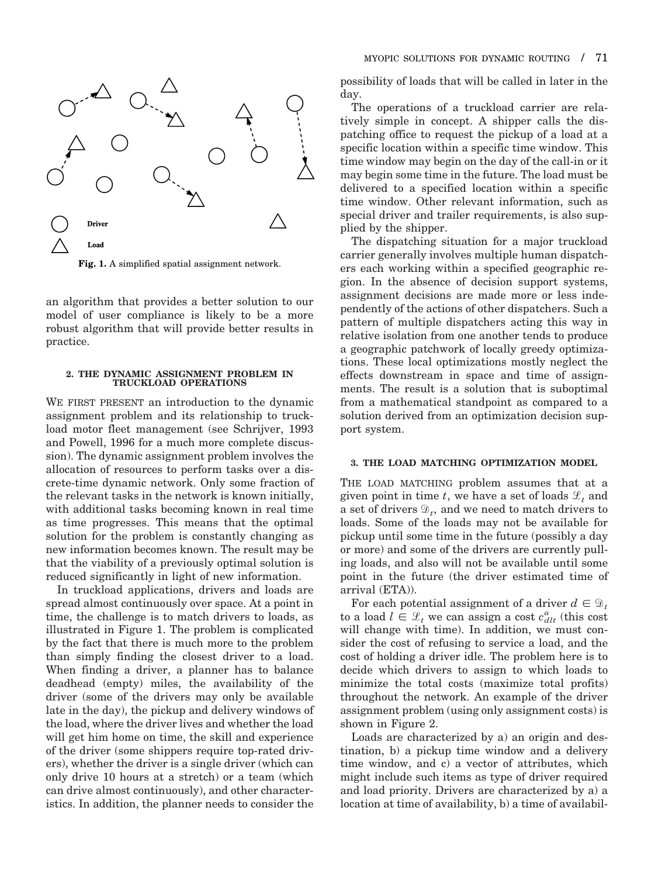

**Fig. 1.** A simplified spatial assignment network.

an algorithm that provides a better solution to our model of user compliance is likely to be a more robust algorithm that will provide better results in practice.

#### **2. THE DYNAMIC ASSIGNMENT PROBLEM IN TRUCKLOAD OPERATIONS**

WE FIRST PRESENT an introduction to the dynamic assignment problem and its relationship to truckload motor fleet management (see Schrijver, 1993 and Powell, 1996 for a much more complete discussion). The dynamic assignment problem involves the allocation of resources to perform tasks over a discrete-time dynamic network. Only some fraction of the relevant tasks in the network is known initially, with additional tasks becoming known in real time as time progresses. This means that the optimal solution for the problem is constantly changing as new information becomes known. The result may be that the viability of a previously optimal solution is reduced significantly in light of new information.

In truckload applications, drivers and loads are spread almost continuously over space. At a point in time, the challenge is to match drivers to loads, as illustrated in Figure 1. The problem is complicated by the fact that there is much more to the problem than simply finding the closest driver to a load. When finding a driver, a planner has to balance deadhead (empty) miles, the availability of the driver (some of the drivers may only be available late in the day), the pickup and delivery windows of the load, where the driver lives and whether the load will get him home on time, the skill and experience of the driver (some shippers require top-rated drivers), whether the driver is a single driver (which can only drive 10 hours at a stretch) or a team (which can drive almost continuously), and other characteristics. In addition, the planner needs to consider the

possibility of loads that will be called in later in the day.

The operations of a truckload carrier are relatively simple in concept. A shipper calls the dispatching office to request the pickup of a load at a specific location within a specific time window. This time window may begin on the day of the call-in or it may begin some time in the future. The load must be delivered to a specified location within a specific time window. Other relevant information, such as special driver and trailer requirements, is also supplied by the shipper.

The dispatching situation for a major truckload carrier generally involves multiple human dispatchers each working within a specified geographic region. In the absence of decision support systems, assignment decisions are made more or less independently of the actions of other dispatchers. Such a pattern of multiple dispatchers acting this way in relative isolation from one another tends to produce a geographic patchwork of locally greedy optimizations. These local optimizations mostly neglect the effects downstream in space and time of assignments. The result is a solution that is suboptimal from a mathematical standpoint as compared to a solution derived from an optimization decision support system.

# **3. THE LOAD MATCHING OPTIMIZATION MODEL**

THE LOAD MATCHING problem assumes that at a given point in time *t*, we have a set of loads  $\mathcal{L}_t$  and a set of drivers  $\mathcal{D}_t$ , and we need to match drivers to loads. Some of the loads may not be available for pickup until some time in the future (possibly a day or more) and some of the drivers are currently pulling loads, and also will not be available until some point in the future (the driver estimated time of arrival (ETA)).

For each potential assignment of a driver  $d \in \mathcal{D}_t$ to a load  $l \in \mathcal{L}_t$  we can assign a cost  $c_{dlt}^a$  (this cost will change with time). In addition, we must consider the cost of refusing to service a load, and the cost of holding a driver idle. The problem here is to decide which drivers to assign to which loads to minimize the total costs (maximize total profits) throughout the network. An example of the driver assignment problem (using only assignment costs) is shown in Figure 2.

Loads are characterized by a) an origin and destination, b) a pickup time window and a delivery time window, and c) a vector of attributes, which might include such items as type of driver required and load priority. Drivers are characterized by a) a location at time of availability, b) a time of availabil-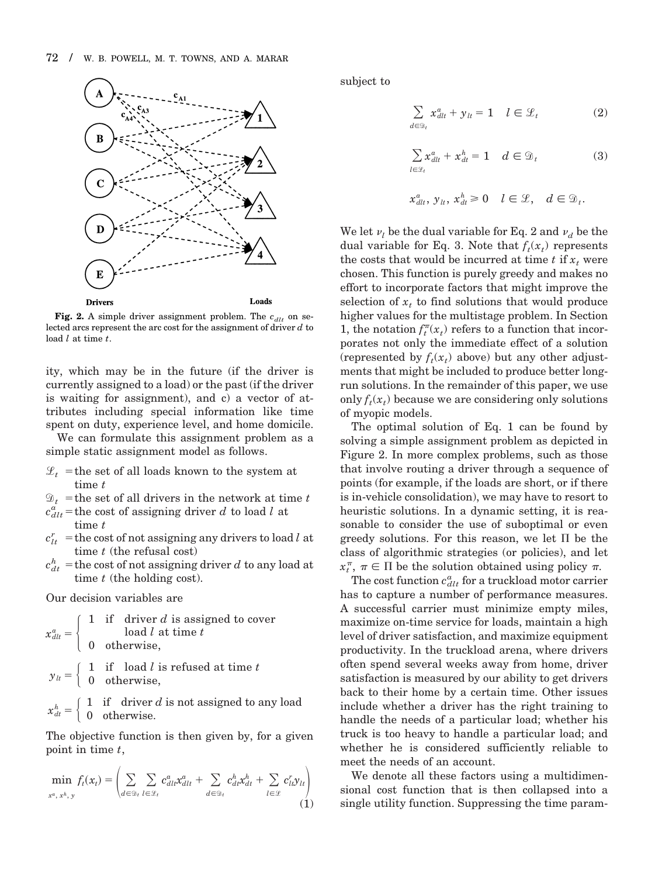

**Fig. 2.** A simple driver assignment problem. The  $c_{dlt}$  on selected arcs represent the arc cost for the assignment of driver *d* to load *l* at time *t*.

ity, which may be in the future (if the driver is currently assigned to a load) or the past (if the driver is waiting for assignment), and c) a vector of attributes including special information like time spent on duty, experience level, and home domicile.

We can formulate this assignment problem as a simple static assignment model as follows.

- $\mathcal{L}_t$  =the set of all loads known to the system at time *t*
- $\mathcal{D}_t$  = the set of all drivers in the network at time *t*
- $c_{dlt}^{a}$  = the cost of assigning driver *d* to load *l* at time *t*
- $c_{lt}^r$  = the cost of not assigning any drivers to load *l* at time *t* (the refusal cost)
- $c_{dt}^{h}$  = the cost of not assigning driver *d* to any load at time *t* (the holding cost).

Our decision variables are

$$
x_{dlt}^{a} = \begin{cases} 1 & \text{if } \text{ driver } d \text{ is assigned to cover} \\ 0 & \text{otherwise,} \end{cases}
$$

$$
y_{lt} = \left\{ \begin{array}{ll} 1 & \text{if } \text{load } l \text{ is refused at time } t \\ 0 & \text{otherwise,} \end{array} \right.
$$

 $x_{dt}^{h} = \left\{ \begin{array}{ll} 1 & \text{if} \quad \text{driver $d$ is not assigned to any load} \ 0 & \text{otherwise.} \end{array} \right.$ 

The objective function is then given by, for a given point in time *t*,

$$
\min_{x^a, x^h, y} f_t(x_t) = \left( \sum_{d \in \mathcal{D}_t} \sum_{l \in \mathcal{L}_t} c_{dlt}^a x_{dlt}^a + \sum_{d \in \mathcal{D}_t} c_{dt}^h x_{dt}^h + \sum_{l \in \mathcal{L}} c_{lt}^r y_{lt} \right) \tag{1}
$$

subject to

$$
\sum_{d \in \mathcal{D}_t} x_{dlt}^a + y_{lt} = 1 \quad l \in \mathcal{L}_t \tag{2}
$$

$$
\sum_{l \in \mathcal{L}_t} x_{dlt}^a + x_{dt}^h = 1 \quad d \in \mathcal{D}_t \tag{3}
$$

$$
x_{\text{dlt}}^a, y_{\text{lt}}, x_{\text{dt}}^h \ge 0 \quad l \in \mathcal{L}, \quad d \in \mathcal{D}_t.
$$

We let  $\nu_l$  be the dual variable for Eq. 2 and  $\nu_d$  be the dual variable for Eq. 3. Note that  $f_t(x_t)$  represents the costs that would be incurred at time  $t$  if  $x_t$  were chosen. This function is purely greedy and makes no effort to incorporate factors that might improve the selection of  $x_t$  to find solutions that would produce higher values for the multistage problem. In Section 1, the notation  $f_t^{\pi}(x_t)$  refers to a function that incorporates not only the immediate effect of a solution (represented by  $f_t(x_t)$  above) but any other adjustments that might be included to produce better longrun solutions. In the remainder of this paper, we use only  $f_t(x_t)$  because we are considering only solutions of myopic models.

The optimal solution of Eq. 1 can be found by solving a simple assignment problem as depicted in Figure 2. In more complex problems, such as those that involve routing a driver through a sequence of points (for example, if the loads are short, or if there is in-vehicle consolidation), we may have to resort to heuristic solutions. In a dynamic setting, it is reasonable to consider the use of suboptimal or even greedy solutions. For this reason, we let  $\Pi$  be the class of algorithmic strategies (or policies), and let  $x_t^{\pi}$ ,  $\pi \in \Pi$  be the solution obtained using policy  $\pi$ .

The cost function  $c_{dlt}^a$  for a truckload motor carrier has to capture a number of performance measures. A successful carrier must minimize empty miles, maximize on-time service for loads, maintain a high level of driver satisfaction, and maximize equipment productivity. In the truckload arena, where drivers often spend several weeks away from home, driver satisfaction is measured by our ability to get drivers back to their home by a certain time. Other issues include whether a driver has the right training to handle the needs of a particular load; whether his truck is too heavy to handle a particular load; and whether he is considered sufficiently reliable to meet the needs of an account.

We denote all these factors using a multidimensional cost function that is then collapsed into a single utility function. Suppressing the time param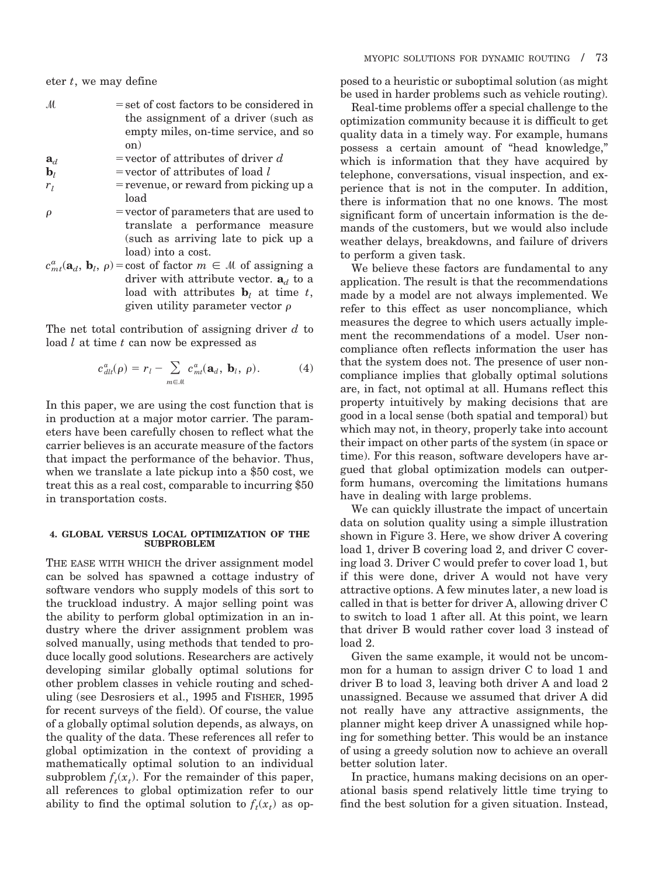eter *t*, we may define

| M. | $=$ set of cost factors to be considered in |
|----|---------------------------------------------|
|    | the assignment of a driver (such as         |
|    | empty miles, on-time service, and so        |
|    | on)                                         |

- **a**<sub>*d*</sub>  $=$  vector of attributes of driver *d*
- **= vector of attributes of load** *l*
- $r_l$  = revenue, or reward from picking up a load
- $\rho$  = vector of parameters that are used to translate a performance measure (such as arriving late to pick up a load) into a cost.
- $c<sup>a</sup><sub>mt</sub>(**a**<sub>d</sub>, **b**<sub>l</sub>, \rho) = \text{cost of factor } m \in \mathcal{M}$  of assigning a driver with attribute vector.  $a_d$  to a load with attributes  $\mathbf{b}_l$  at time  $t$ , given utility parameter vector  $\rho$

The net total contribution of assigning driver *d* to load *l* at time *t* can now be expressed as

$$
c_{dlt}^a(\rho) = r_l - \sum_{m \in \mathcal{M}} c_{mt}^a(\mathbf{a}_d, \mathbf{b}_l, \rho).
$$
 (4)

In this paper, we are using the cost function that is in production at a major motor carrier. The parameters have been carefully chosen to reflect what the carrier believes is an accurate measure of the factors that impact the performance of the behavior. Thus, when we translate a late pickup into a \$50 cost, we treat this as a real cost, comparable to incurring \$50 in transportation costs.

#### **4. GLOBAL VERSUS LOCAL OPTIMIZATION OF THE SUBPROBLEM**

THE EASE WITH WHICH the driver assignment model can be solved has spawned a cottage industry of software vendors who supply models of this sort to the truckload industry. A major selling point was the ability to perform global optimization in an industry where the driver assignment problem was solved manually, using methods that tended to produce locally good solutions. Researchers are actively developing similar globally optimal solutions for other problem classes in vehicle routing and scheduling (see Desrosiers et al., 1995 and FISHER, 1995 for recent surveys of the field). Of course, the value of a globally optimal solution depends, as always, on the quality of the data. These references all refer to global optimization in the context of providing a mathematically optimal solution to an individual subproblem  $f_t(x_t)$ . For the remainder of this paper, all references to global optimization refer to our ability to find the optimal solution to  $f_t(x_t)$  as opposed to a heuristic or suboptimal solution (as might be used in harder problems such as vehicle routing).

Real-time problems offer a special challenge to the optimization community because it is difficult to get quality data in a timely way. For example, humans possess a certain amount of "head knowledge," which is information that they have acquired by telephone, conversations, visual inspection, and experience that is not in the computer. In addition, there is information that no one knows. The most significant form of uncertain information is the demands of the customers, but we would also include weather delays, breakdowns, and failure of drivers to perform a given task.

We believe these factors are fundamental to any application. The result is that the recommendations made by a model are not always implemented. We refer to this effect as user noncompliance, which measures the degree to which users actually implement the recommendations of a model. User noncompliance often reflects information the user has that the system does not. The presence of user noncompliance implies that globally optimal solutions are, in fact, not optimal at all. Humans reflect this property intuitively by making decisions that are good in a local sense (both spatial and temporal) but which may not, in theory, properly take into account their impact on other parts of the system (in space or time). For this reason, software developers have argued that global optimization models can outperform humans, overcoming the limitations humans have in dealing with large problems.

We can quickly illustrate the impact of uncertain data on solution quality using a simple illustration shown in Figure 3. Here, we show driver A covering load 1, driver B covering load 2, and driver C covering load 3. Driver C would prefer to cover load 1, but if this were done, driver A would not have very attractive options. A few minutes later, a new load is called in that is better for driver A, allowing driver C to switch to load 1 after all. At this point, we learn that driver B would rather cover load 3 instead of load 2.

Given the same example, it would not be uncommon for a human to assign driver C to load 1 and driver B to load 3, leaving both driver A and load 2 unassigned. Because we assumed that driver A did not really have any attractive assignments, the planner might keep driver A unassigned while hoping for something better. This would be an instance of using a greedy solution now to achieve an overall better solution later.

In practice, humans making decisions on an operational basis spend relatively little time trying to find the best solution for a given situation. Instead,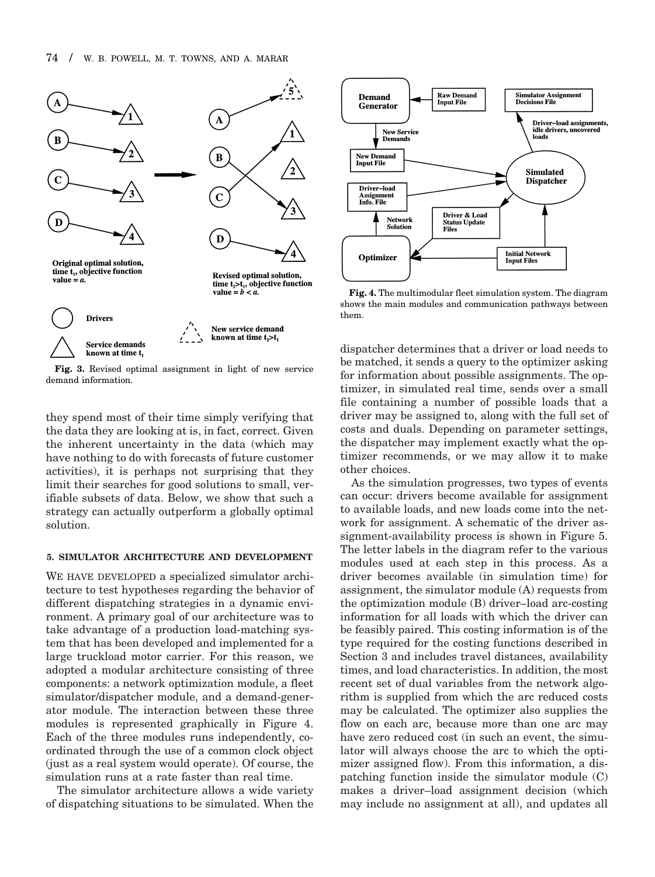

**Fig. 3.** Revised optimal assignment in light of new service demand information.

they spend most of their time simply verifying that the data they are looking at is, in fact, correct. Given the inherent uncertainty in the data (which may have nothing to do with forecasts of future customer activities), it is perhaps not surprising that they limit their searches for good solutions to small, verifiable subsets of data. Below, we show that such a strategy can actually outperform a globally optimal solution.

#### **5. SIMULATOR ARCHITECTURE AND DEVELOPMENT**

WE HAVE DEVELOPED a specialized simulator architecture to test hypotheses regarding the behavior of different dispatching strategies in a dynamic environment. A primary goal of our architecture was to take advantage of a production load-matching system that has been developed and implemented for a large truckload motor carrier. For this reason, we adopted a modular architecture consisting of three components: a network optimization module, a fleet simulator/dispatcher module, and a demand-generator module. The interaction between these three modules is represented graphically in Figure 4. Each of the three modules runs independently, coordinated through the use of a common clock object (just as a real system would operate). Of course, the simulation runs at a rate faster than real time.

The simulator architecture allows a wide variety of dispatching situations to be simulated. When the



**Fig. 4.** The multimodular fleet simulation system. The diagram shows the main modules and communication pathways between them.

dispatcher determines that a driver or load needs to be matched, it sends a query to the optimizer asking for information about possible assignments. The optimizer, in simulated real time, sends over a small file containing a number of possible loads that a driver may be assigned to, along with the full set of costs and duals. Depending on parameter settings, the dispatcher may implement exactly what the optimizer recommends, or we may allow it to make other choices.

As the simulation progresses, two types of events can occur: drivers become available for assignment to available loads, and new loads come into the network for assignment. A schematic of the driver assignment-availability process is shown in Figure 5. The letter labels in the diagram refer to the various modules used at each step in this process. As a driver becomes available (in simulation time) for assignment, the simulator module (A) requests from the optimization module (B) driver–load arc-costing information for all loads with which the driver can be feasibly paired. This costing information is of the type required for the costing functions described in Section 3 and includes travel distances, availability times, and load characteristics. In addition, the most recent set of dual variables from the network algorithm is supplied from which the arc reduced costs may be calculated. The optimizer also supplies the flow on each arc, because more than one arc may have zero reduced cost (in such an event, the simulator will always choose the arc to which the optimizer assigned flow). From this information, a dispatching function inside the simulator module (C) makes a driver–load assignment decision (which may include no assignment at all), and updates all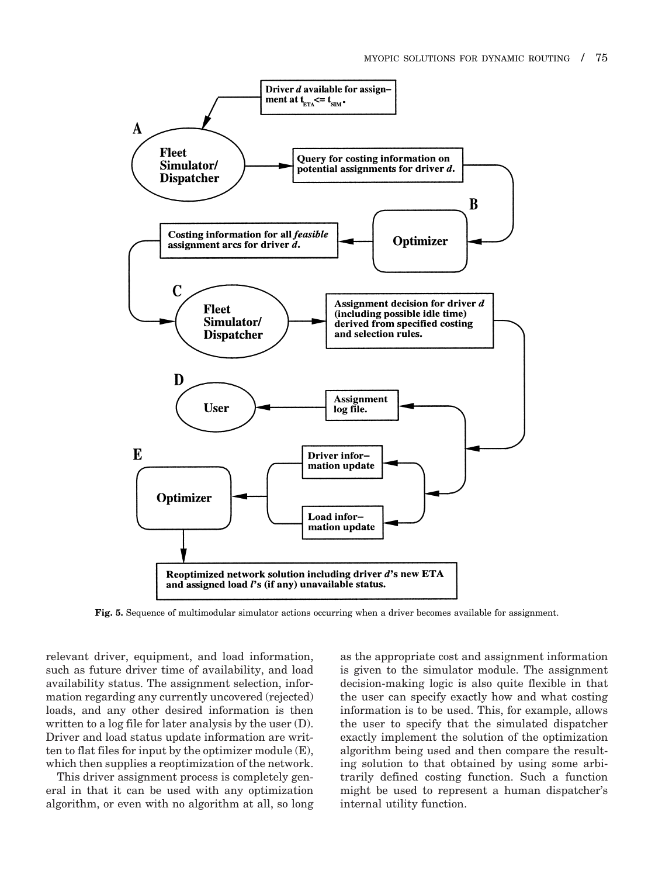

**Fig. 5.** Sequence of multimodular simulator actions occurring when a driver becomes available for assignment.

relevant driver, equipment, and load information, such as future driver time of availability, and load availability status. The assignment selection, information regarding any currently uncovered (rejected) loads, and any other desired information is then written to a log file for later analysis by the user (D). Driver and load status update information are written to flat files for input by the optimizer module (E), which then supplies a reoptimization of the network.

This driver assignment process is completely general in that it can be used with any optimization algorithm, or even with no algorithm at all, so long as the appropriate cost and assignment information is given to the simulator module. The assignment decision-making logic is also quite flexible in that the user can specify exactly how and what costing information is to be used. This, for example, allows the user to specify that the simulated dispatcher exactly implement the solution of the optimization algorithm being used and then compare the resulting solution to that obtained by using some arbitrarily defined costing function. Such a function might be used to represent a human dispatcher's internal utility function.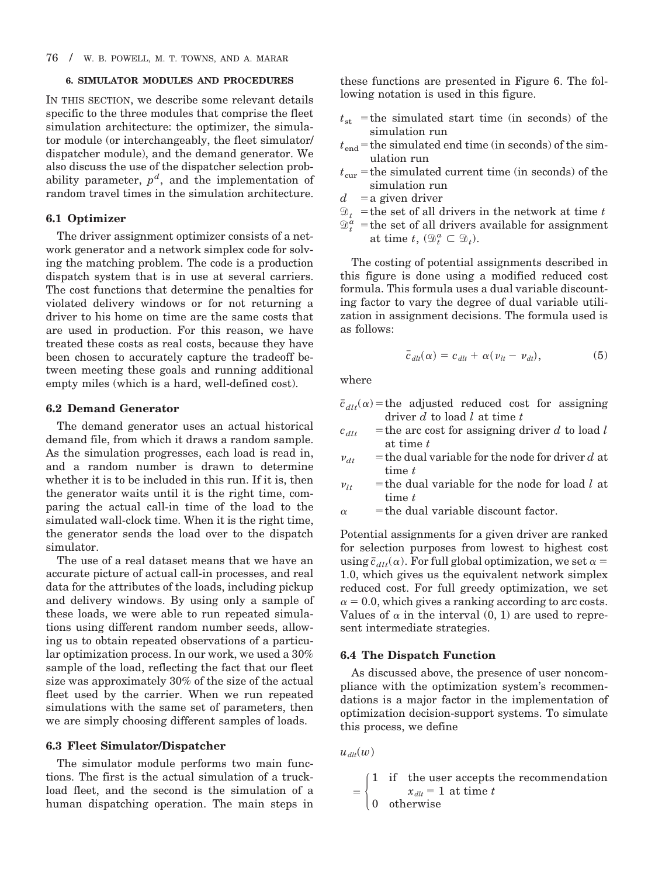# **6. SIMULATOR MODULES AND PROCEDURES**

IN THIS SECTION, we describe some relevant details specific to the three modules that comprise the fleet simulation architecture: the optimizer, the simulator module (or interchangeably, the fleet simulator/ dispatcher module), and the demand generator. We also discuss the use of the dispatcher selection probability parameter,  $p^d$ , and the implementation of random travel times in the simulation architecture.

# **6.1 Optimizer**

The driver assignment optimizer consists of a network generator and a network simplex code for solving the matching problem. The code is a production dispatch system that is in use at several carriers. The cost functions that determine the penalties for violated delivery windows or for not returning a driver to his home on time are the same costs that are used in production. For this reason, we have treated these costs as real costs, because they have been chosen to accurately capture the tradeoff between meeting these goals and running additional empty miles (which is a hard, well-defined cost).

# **6.2 Demand Generator**

The demand generator uses an actual historical demand file, from which it draws a random sample. As the simulation progresses, each load is read in, and a random number is drawn to determine whether it is to be included in this run. If it is, then the generator waits until it is the right time, comparing the actual call-in time of the load to the simulated wall-clock time. When it is the right time, the generator sends the load over to the dispatch simulator.

The use of a real dataset means that we have an accurate picture of actual call-in processes, and real data for the attributes of the loads, including pickup and delivery windows. By using only a sample of these loads, we were able to run repeated simulations using different random number seeds, allowing us to obtain repeated observations of a particular optimization process. In our work, we used a 30% sample of the load, reflecting the fact that our fleet size was approximately 30% of the size of the actual fleet used by the carrier. When we run repeated simulations with the same set of parameters, then we are simply choosing different samples of loads.

#### **6.3 Fleet Simulator/Dispatcher**

The simulator module performs two main functions. The first is the actual simulation of a truckload fleet, and the second is the simulation of a human dispatching operation. The main steps in

these functions are presented in Figure 6. The following notation is used in this figure.

- $t_{\text{st}}$  = the simulated start time (in seconds) of the simulation run
- $t_{end}$  = the simulated end time (in seconds) of the simulation run
- $t_{\text{cur}}$  = the simulated current time (in seconds) of the simulation run
- $d = a$  given driver
- $\mathfrak{D}_t$  = the set of all drivers in the network at time *t*
- $\mathcal{D}_{t}^{\alpha}$  =the set of all drivers available for assignment at time  $t$ ,  $(\mathcal{D}_t^a \subset \mathcal{D}_t)$ .

The costing of potential assignments described in this figure is done using a modified reduced cost formula. This formula uses a dual variable discounting factor to vary the degree of dual variable utilization in assignment decisions. The formula used is as follows:

$$
\bar{c}_{\text{dlt}}(\alpha) = c_{\text{dlt}} + \alpha (\nu_{\text{lt}} - \nu_{\text{dt}}), \qquad (5)
$$

where

- $\bar{c}_{dlt}(\alpha)$  = the adjusted reduced cost for assigning driver *d* to load *l* at time *t*
- $c_{d1t}$  = the arc cost for assigning driver *d* to load *l* at time *t*
- $v_{dt}$  = the dual variable for the node for driver *d* at time *t*
- $v_{lt}$  = the dual variable for the node for load *l* at time *t*
- $\alpha$  $t =$  the dual variable discount factor.

Potential assignments for a given driver are ranked for selection purposes from lowest to highest cost using  $\bar{c}_{dlt}(\alpha)$ . For full global optimization, we set  $\alpha =$ 1.0, which gives us the equivalent network simplex reduced cost. For full greedy optimization, we set  $\alpha = 0.0$ , which gives a ranking according to arc costs. Values of  $\alpha$  in the interval  $(0, 1)$  are used to represent intermediate strategies.

## **6.4 The Dispatch Function**

As discussed above, the presence of user noncompliance with the optimization system's recommendations is a major factor in the implementation of optimization decision-support systems. To simulate this process, we define

 $u_{\text{dlt}}(w)$ 

 - *xdlt* 1 at time *t* 1 if the user accepts the recommendation 0 otherwise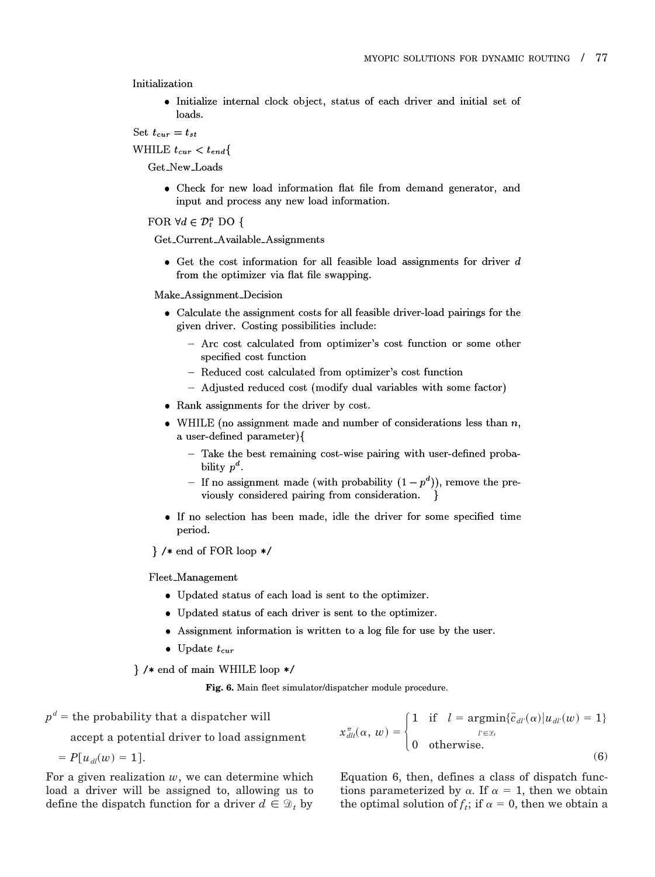Initialization

• Initialize internal clock object, status of each driver and initial set of loads.

Set  $t_{cur} = t_{st}$ 

WHILE  $t_{cur} < t_{end}$ {

Get\_New\_Loads

• Check for new load information flat file from demand generator, and input and process any new load information.

FOR  $\forall d \in \mathcal{D}_t^a$  DO {

Get\_Current\_Available\_Assignments

 $\bullet$  Get the cost information for all feasible load assignments for driver d from the optimizer via flat file swapping.

Make\_Assignment\_Decision

- Calculate the assignment costs for all feasible driver-load pairings for the given driver. Costing possibilities include:
	- Arc cost calculated from optimizer's cost function or some other specified cost function
	- Reduced cost calculated from optimizer's cost function
	- Adjusted reduced cost (modify dual variables with some factor)
- Rank assignments for the driver by cost.
- WHILE (no assignment made and number of considerations less than  $n$ , a user-defined parameter){
	- Take the best remaining cost-wise pairing with user-defined probability  $p^d$ .
	- If no assignment made (with probability  $(1-p^d)$ ), remove the previously considered pairing from consideration.  $\}$
- If no selection has been made, idle the driver for some specified time period.

 $\}$  /\* end of FOR loop \*/

Fleet\_Management

- Updated status of each load is sent to the optimizer.
- Updated status of each driver is sent to the optimizer.
- Assignment information is written to a log file for use by the user.
- $\bullet$  Update  $t_{cur}$

} /\* end of main WHILE loop \*/

**Fig. 6.** Main fleet simulator/dispatcher module procedure.

 $p^d$  = the probability that a dispatcher will

accept a potential driver to load assignment

$$
=P[u_{dl}(w)=1].
$$

For a given realization  $w$ , we can determine which load a driver will be assigned to, allowing us to define the dispatch function for a driver  $d \in \mathcal{D}_t$  by

$$
x_{\text{dlt}}^{\pi}(\alpha, w) = \begin{cases} 1 & \text{if } l = \operatorname{argmin} \{\bar{c}_{\text{dlt}}(\alpha) | u_{\text{dlt}}(w) = 1\} \\ 0 & \text{otherwise.} \end{cases} \tag{6}
$$

Equation 6, then, defines a class of dispatch functions parameterized by  $\alpha$ . If  $\alpha = 1$ , then we obtain the optimal solution of  $f_t$ ; if  $\alpha = 0$ , then we obtain a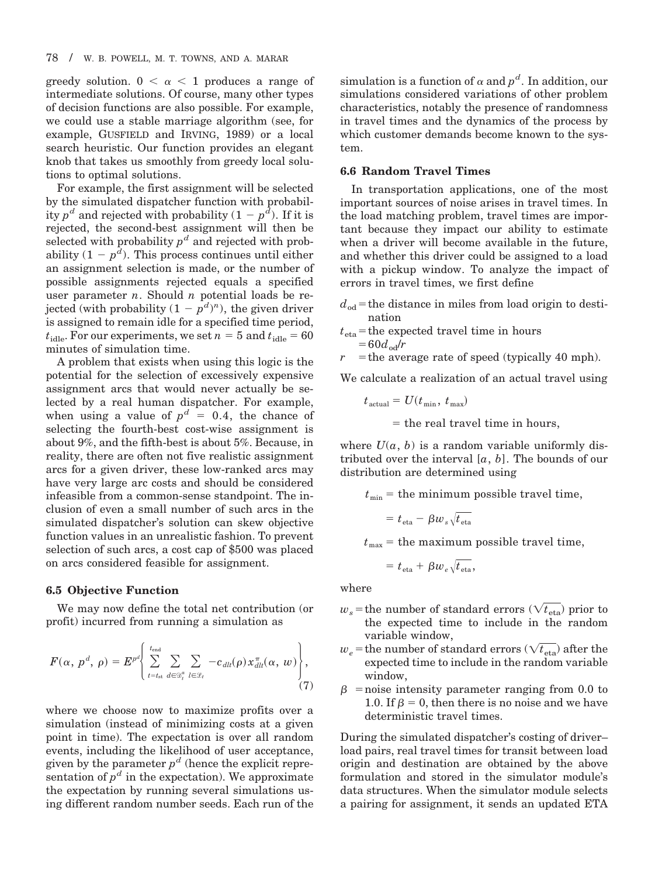greedy solution.  $0 < \alpha < 1$  produces a range of intermediate solutions. Of course, many other types of decision functions are also possible. For example, we could use a stable marriage algorithm (see, for example, GUSFIELD and IRVING, 1989) or a local search heuristic. Our function provides an elegant knob that takes us smoothly from greedy local solutions to optimal solutions.

For example, the first assignment will be selected by the simulated dispatcher function with probability  $p^d$  and rejected with probability  $(1 - p^{\tilde{d}})$ . If it is rejected, the second-best assignment will then be selected with probability  $p^d$  and rejected with probability  $(1 - p^d)$ . This process continues until either an assignment selection is made, or the number of possible assignments rejected equals a specified user parameter *n*. Should *n* potential loads be rejected (with probability  $(1 - p^d)^n$ ), the given driver is assigned to remain idle for a specified time period,  $t<sub>idle</sub>$ . For our experiments, we set  $n = 5$  and  $t<sub>idle</sub> = 60$ minutes of simulation time.

A problem that exists when using this logic is the potential for the selection of excessively expensive assignment arcs that would never actually be selected by a real human dispatcher. For example, when using a value of  $p^d = 0.4$ , the chance of selecting the fourth-best cost-wise assignment is about 9%, and the fifth-best is about 5%. Because, in reality, there are often not five realistic assignment arcs for a given driver, these low-ranked arcs may have very large arc costs and should be considered infeasible from a common-sense standpoint. The inclusion of even a small number of such arcs in the simulated dispatcher's solution can skew objective function values in an unrealistic fashion. To prevent selection of such arcs, a cost cap of \$500 was placed on arcs considered feasible for assignment.

# **6.5 Objective Function**

We may now define the total net contribution (or profit) incurred from running a simulation as

$$
F(\alpha, p^d, \rho) = E^{p^d} \Bigg\{ \sum_{t=t_{\rm st}}^{\rm tend} \sum_{d \in \mathcal{D}_t^a} \sum_{l \in \mathcal{L}_t} -c_{\text{dlt}}(\rho) x_{\text{dlt}}^{\pi}(\alpha, w) \Bigg\},\tag{7}
$$

where we choose now to maximize profits over a simulation (instead of minimizing costs at a given point in time). The expectation is over all random events, including the likelihood of user acceptance, given by the parameter  $p^d$  (hence the explicit representation of  $p^d$  in the expectation). We approximate the expectation by running several simulations using different random number seeds. Each run of the

simulation is a function of  $\alpha$  and  $p^d$ . In addition, our simulations considered variations of other problem characteristics, notably the presence of randomness in travel times and the dynamics of the process by which customer demands become known to the system.

# **6.6 Random Travel Times**

In transportation applications, one of the most important sources of noise arises in travel times. In the load matching problem, travel times are important because they impact our ability to estimate when a driver will become available in the future, and whether this driver could be assigned to a load with a pickup window. To analyze the impact of errors in travel times, we first define

- $d_{\text{od}}$  = the distance in miles from load origin to destination
- $t_{\text{eta}}$  = the expected travel time in hours  $=60d_{\text{od}}/r$

 $r =$  the average rate of speed (typically 40 mph).

We calculate a realization of an actual travel using

$$
t_{\text{actual}} = U(t_{\text{min}}, t_{\text{max}})
$$

 $t =$  the real travel time in hours,

where  $U(a, b)$  is a random variable uniformly distributed over the interval [*a*, *b*]. The bounds of our distribution are determined using

 $t_{\min}$  = the minimum possible travel time,

$$
= t_{\text{eta}} - \beta w_s \sqrt{t_{\text{eta}}}
$$

 $t_{\text{max}}$  = the maximum possible travel time,

$$
= t_{\text{eta}} + \beta w_e \sqrt{t_{\text{eta}}},
$$

where

- $w_s$  = the number of standard errors ( $\sqrt{t_{eta}}$ ) prior to the expected time to include in the random variable window,
- $w_e$  = the number of standard errors ( $\sqrt{t_{\text{eta}}}$ ) after the expected time to include in the random variable window,
- $\beta$  = noise intensity parameter ranging from 0.0 to 1.0. If  $\beta = 0$ , then there is no noise and we have deterministic travel times.

During the simulated dispatcher's costing of driver– load pairs, real travel times for transit between load origin and destination are obtained by the above formulation and stored in the simulator module's data structures. When the simulator module selects a pairing for assignment, it sends an updated ETA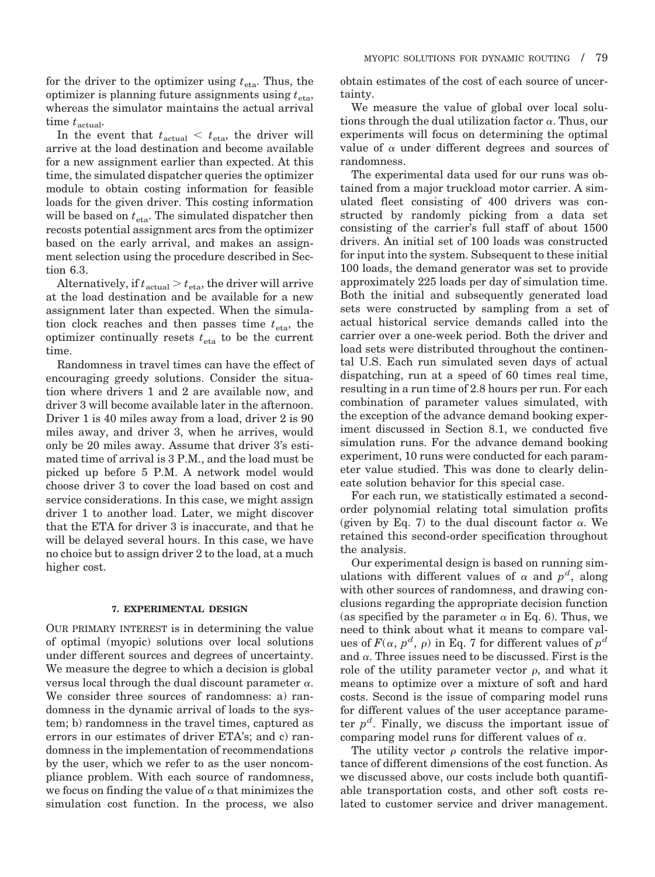for the driver to the optimizer using  $t_{eta}$ . Thus, the optimizer is planning future assignments using  $t_{\text{eta}}$ , whereas the simulator maintains the actual arrival time  $t_{\text{actual}}$ .

In the event that  $t_{\text{actual}} < t_{\text{eta}}$ , the driver will arrive at the load destination and become available for a new assignment earlier than expected. At this time, the simulated dispatcher queries the optimizer module to obtain costing information for feasible loads for the given driver. This costing information will be based on  $t_{eta}$ . The simulated dispatcher then recosts potential assignment arcs from the optimizer based on the early arrival, and makes an assignment selection using the procedure described in Section 6.3.

Alternatively, if  $t_{\text{actual}} > t_{\text{eta}}$ , the driver will arrive at the load destination and be available for a new assignment later than expected. When the simulation clock reaches and then passes time  $t_{eta}$ , the optimizer continually resets  $t_{eta}$  to be the current time.

Randomness in travel times can have the effect of encouraging greedy solutions. Consider the situation where drivers 1 and 2 are available now, and driver 3 will become available later in the afternoon. Driver 1 is 40 miles away from a load, driver 2 is 90 miles away, and driver 3, when he arrives, would only be 20 miles away. Assume that driver 3's estimated time of arrival is 3 P.M., and the load must be picked up before 5 P.M. A network model would choose driver 3 to cover the load based on cost and service considerations. In this case, we might assign driver 1 to another load. Later, we might discover that the ETA for driver 3 is inaccurate, and that he will be delayed several hours. In this case, we have no choice but to assign driver 2 to the load, at a much higher cost.

## **7. EXPERIMENTAL DESIGN**

OUR PRIMARY INTEREST is in determining the value of optimal (myopic) solutions over local solutions under different sources and degrees of uncertainty. We measure the degree to which a decision is global versus local through the dual discount parameter  $\alpha$ . We consider three sources of randomness: a) randomness in the dynamic arrival of loads to the system; b) randomness in the travel times, captured as errors in our estimates of driver ETA's; and c) randomness in the implementation of recommendations by the user, which we refer to as the user noncompliance problem. With each source of randomness, we focus on finding the value of  $\alpha$  that minimizes the simulation cost function. In the process, we also obtain estimates of the cost of each source of uncertainty.

We measure the value of global over local solutions through the dual utilization factor  $\alpha$ . Thus, our experiments will focus on determining the optimal value of  $\alpha$  under different degrees and sources of randomness.

The experimental data used for our runs was obtained from a major truckload motor carrier. A simulated fleet consisting of 400 drivers was constructed by randomly picking from a data set consisting of the carrier's full staff of about 1500 drivers. An initial set of 100 loads was constructed for input into the system. Subsequent to these initial 100 loads, the demand generator was set to provide approximately 225 loads per day of simulation time. Both the initial and subsequently generated load sets were constructed by sampling from a set of actual historical service demands called into the carrier over a one-week period. Both the driver and load sets were distributed throughout the continental U.S. Each run simulated seven days of actual dispatching, run at a speed of 60 times real time, resulting in a run time of 2.8 hours per run. For each combination of parameter values simulated, with the exception of the advance demand booking experiment discussed in Section 8.1, we conducted five simulation runs. For the advance demand booking experiment, 10 runs were conducted for each parameter value studied. This was done to clearly delineate solution behavior for this special case.

For each run, we statistically estimated a secondorder polynomial relating total simulation profits (given by Eq. 7) to the dual discount factor  $\alpha$ . We retained this second-order specification throughout the analysis.

Our experimental design is based on running simulations with different values of  $\alpha$  and  $p^d$ , along with other sources of randomness, and drawing conclusions regarding the appropriate decision function (as specified by the parameter  $\alpha$  in Eq. 6). Thus, we need to think about what it means to compare values of  $F(\alpha, p^d, \rho)$  in Eq. 7 for different values of  $p^d$ and  $\alpha$ . Three issues need to be discussed. First is the role of the utility parameter vector  $\rho$ , and what it means to optimize over a mixture of soft and hard costs. Second is the issue of comparing model runs for different values of the user acceptance parameter  $p^d$ . Finally, we discuss the important issue of comparing model runs for different values of  $\alpha$ .

The utility vector  $\rho$  controls the relative importance of different dimensions of the cost function. As we discussed above, our costs include both quantifiable transportation costs, and other soft costs related to customer service and driver management.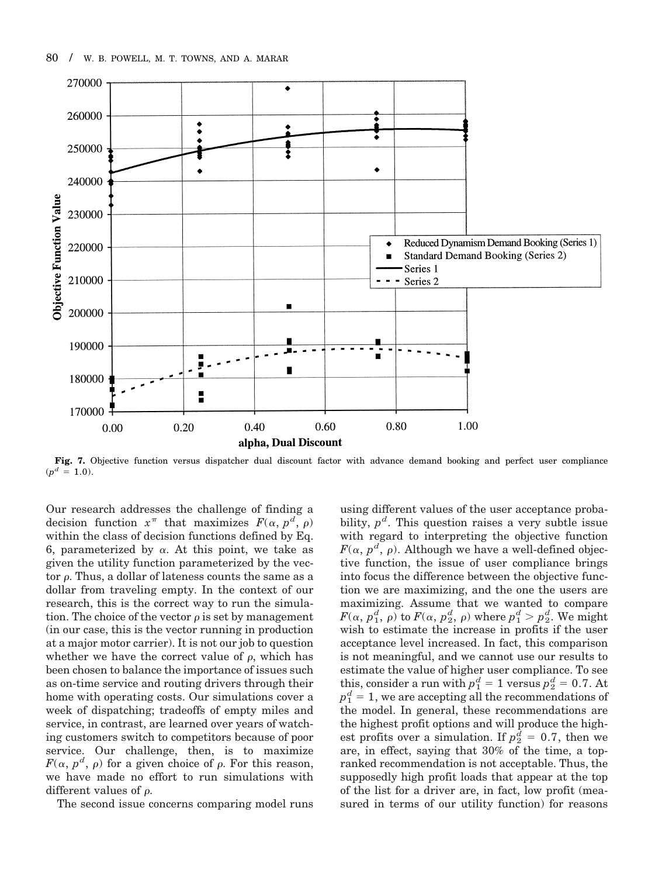

**Fig. 7.** Objective function versus dispatcher dual discount factor with advance demand booking and perfect user compliance  $(p^d = 1.0).$ 

Our research addresses the challenge of finding a decision function  $x^{\pi}$  that maximizes  $F(\alpha, p^d, \rho)$ within the class of decision functions defined by Eq. 6, parameterized by  $\alpha$ . At this point, we take as given the utility function parameterized by the vector  $\rho$ . Thus, a dollar of lateness counts the same as a dollar from traveling empty. In the context of our research, this is the correct way to run the simulation. The choice of the vector  $\rho$  is set by management (in our case, this is the vector running in production at a major motor carrier). It is not our job to question whether we have the correct value of  $\rho$ , which has been chosen to balance the importance of issues such as on-time service and routing drivers through their home with operating costs. Our simulations cover a week of dispatching; tradeoffs of empty miles and service, in contrast, are learned over years of watching customers switch to competitors because of poor service. Our challenge, then, is to maximize  $F(\alpha, p^d, \rho)$  for a given choice of  $\rho$ . For this reason, we have made no effort to run simulations with different values of  $\rho$ .

The second issue concerns comparing model runs

using different values of the user acceptance probability,  $p^d$ . This question raises a very subtle issue with regard to interpreting the objective function  $F(\alpha, p^d, \rho)$ . Although we have a well-defined objective function, the issue of user compliance brings into focus the difference between the objective function we are maximizing, and the one the users are maximizing. Assume that we wanted to compare  $F(\alpha, p_1^d, \rho)$  to  $F(\alpha, p_2^d, \rho)$  where  $p_1^d > p_2^d$ . We might wish to estimate the increase in profits if the user acceptance level increased. In fact, this comparison is not meaningful, and we cannot use our results to estimate the value of higher user compliance. To see  $\text{this, consider a run with } p_1^d = 1 \text{ versus } p_2^d = 0.7. \text{ At}$  $p_1^d = 1$ , we are accepting all the recommendations of the model. In general, these recommendations are the highest profit options and will produce the highest profits over a simulation. If  $p_2^{\overline{d}} = 0.7$ , then we are, in effect, saying that 30% of the time, a topranked recommendation is not acceptable. Thus, the supposedly high profit loads that appear at the top of the list for a driver are, in fact, low profit (measured in terms of our utility function) for reasons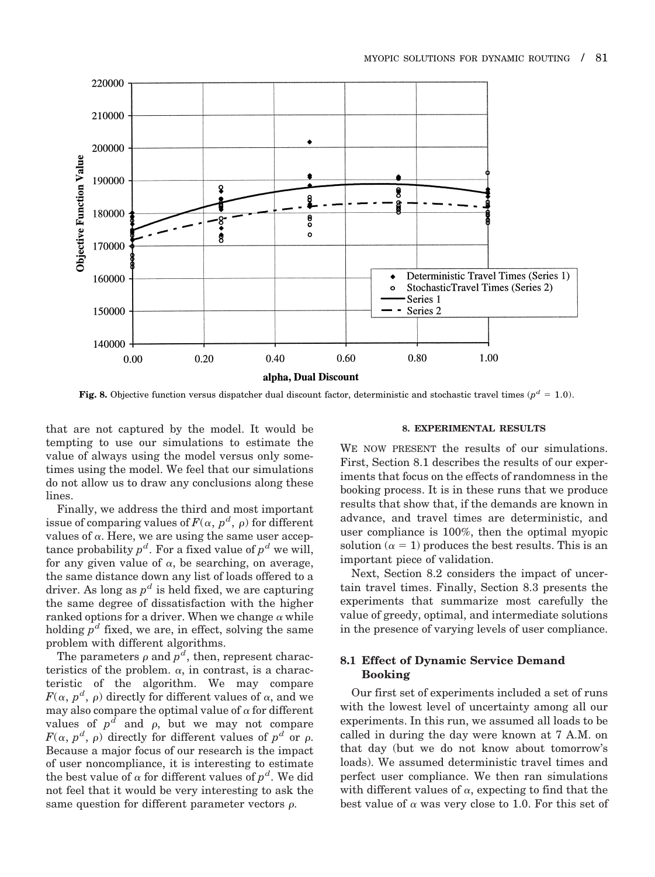

**Fig. 8.** Objective function versus dispatcher dual discount factor, deterministic and stochastic travel times ( $p^d = 1.0$ ).

that are not captured by the model. It would be tempting to use our simulations to estimate the value of always using the model versus only sometimes using the model. We feel that our simulations do not allow us to draw any conclusions along these lines.

Finally, we address the third and most important issue of comparing values of  $F(\alpha, p^d, \rho)$  for different values of  $\alpha$ . Here, we are using the same user acceptance probability  $p^d$ . For a fixed value of  $p^d$  we will, for any given value of  $\alpha$ , be searching, on average, the same distance down any list of loads offered to a driver. As long as  $p^d$  is held fixed, we are capturing the same degree of dissatisfaction with the higher ranked options for a driver. When we change  $\alpha$  while holding  $p^d$  fixed, we are, in effect, solving the same problem with different algorithms.

The parameters  $\rho$  and  $p^d$ , then, represent characteristics of the problem.  $\alpha$ , in contrast, is a characteristic of the algorithm. We may compare  $F(\alpha, p^d, \rho)$  directly for different values of  $\alpha$ , and we may also compare the optimal value of  $\alpha$  for different values of  $p^d$  and  $\rho$ , but we may not compare  $F(\alpha, p^d, \rho)$  directly for different values of  $p^d$  or  $\rho$ . Because a major focus of our research is the impact of user noncompliance, it is interesting to estimate the best value of  $\alpha$  for different values of  $p^d$ . We did not feel that it would be very interesting to ask the same question for different parameter vectors  $\rho$ .

# **8. EXPERIMENTAL RESULTS**

WE NOW PRESENT the results of our simulations. First, Section 8.1 describes the results of our experiments that focus on the effects of randomness in the booking process. It is in these runs that we produce results that show that, if the demands are known in advance, and travel times are deterministic, and user compliance is 100%, then the optimal myopic solution ( $\alpha = 1$ ) produces the best results. This is an important piece of validation.

Next, Section 8.2 considers the impact of uncertain travel times. Finally, Section 8.3 presents the experiments that summarize most carefully the value of greedy, optimal, and intermediate solutions in the presence of varying levels of user compliance.

# **8.1 Effect of Dynamic Service Demand Booking**

Our first set of experiments included a set of runs with the lowest level of uncertainty among all our experiments. In this run, we assumed all loads to be called in during the day were known at 7 A.M. on that day (but we do not know about tomorrow's loads). We assumed deterministic travel times and perfect user compliance. We then ran simulations with different values of  $\alpha$ , expecting to find that the best value of  $\alpha$  was very close to 1.0. For this set of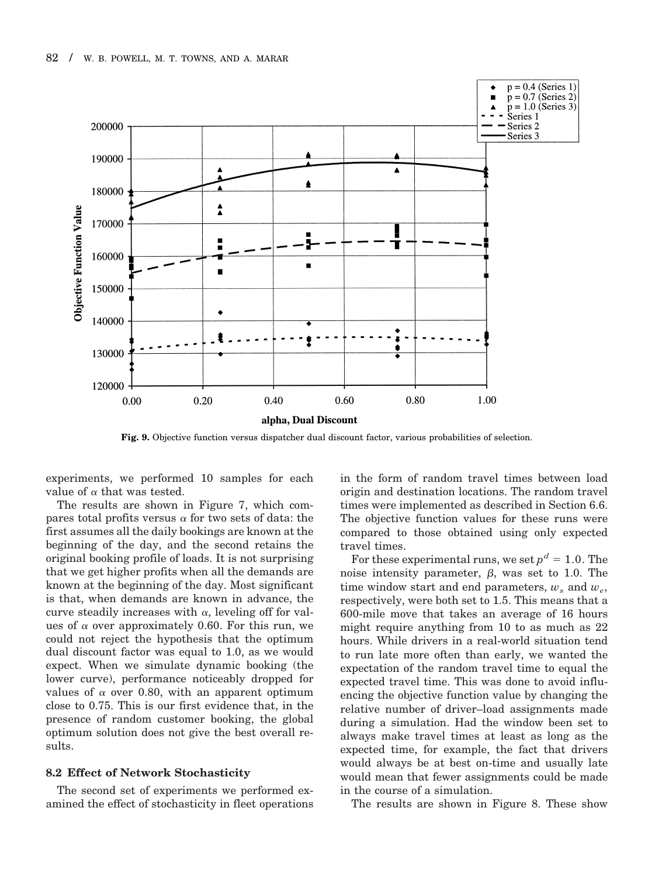

**Fig. 9.** Objective function versus dispatcher dual discount factor, various probabilities of selection.

experiments, we performed 10 samples for each value of  $\alpha$  that was tested.

The results are shown in Figure 7, which compares total profits versus  $\alpha$  for two sets of data: the first assumes all the daily bookings are known at the beginning of the day, and the second retains the original booking profile of loads. It is not surprising that we get higher profits when all the demands are known at the beginning of the day. Most significant is that, when demands are known in advance, the curve steadily increases with  $\alpha$ , leveling off for values of  $\alpha$  over approximately 0.60. For this run, we could not reject the hypothesis that the optimum dual discount factor was equal to 1.0, as we would expect. When we simulate dynamic booking (the lower curve), performance noticeably dropped for values of  $\alpha$  over 0.80, with an apparent optimum close to 0.75. This is our first evidence that, in the presence of random customer booking, the global optimum solution does not give the best overall results.

# **8.2 Effect of Network Stochasticity**

The second set of experiments we performed examined the effect of stochasticity in fleet operations

in the form of random travel times between load origin and destination locations. The random travel times were implemented as described in Section 6.6. The objective function values for these runs were compared to those obtained using only expected travel times.

For these experimental runs, we set  $p^d = 1.0$ . The noise intensity parameter,  $\beta$ , was set to 1.0. The time window start and end parameters,  $w_s$  and  $w_e$ , respectively, were both set to 1.5. This means that a 600-mile move that takes an average of 16 hours might require anything from 10 to as much as 22 hours. While drivers in a real-world situation tend to run late more often than early, we wanted the expectation of the random travel time to equal the expected travel time. This was done to avoid influencing the objective function value by changing the relative number of driver–load assignments made during a simulation. Had the window been set to always make travel times at least as long as the expected time, for example, the fact that drivers would always be at best on-time and usually late would mean that fewer assignments could be made in the course of a simulation.

The results are shown in Figure 8. These show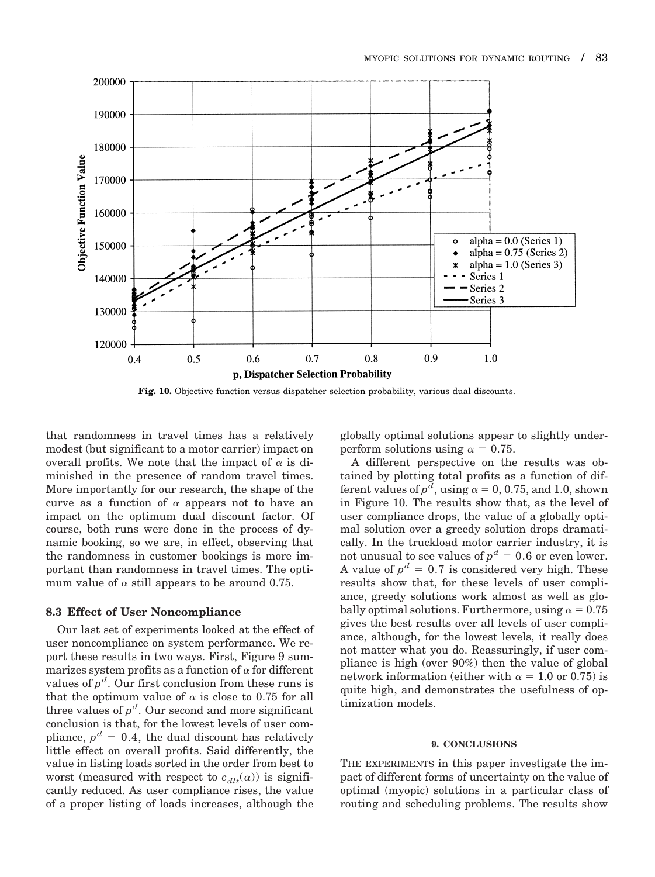

**Fig. 10.** Objective function versus dispatcher selection probability, various dual discounts.

that randomness in travel times has a relatively modest (but significant to a motor carrier) impact on overall profits. We note that the impact of  $\alpha$  is diminished in the presence of random travel times. More importantly for our research, the shape of the curve as a function of  $\alpha$  appears not to have an impact on the optimum dual discount factor. Of course, both runs were done in the process of dynamic booking, so we are, in effect, observing that the randomness in customer bookings is more important than randomness in travel times. The optimum value of  $\alpha$  still appears to be around 0.75.

#### **8.3 Effect of User Noncompliance**

Our last set of experiments looked at the effect of user noncompliance on system performance. We report these results in two ways. First, Figure 9 summarizes system profits as a function of  $\alpha$  for different values of  $p^d$ . Our first conclusion from these runs is that the optimum value of  $\alpha$  is close to 0.75 for all three values of  $p^d$ . Our second and more significant conclusion is that, for the lowest levels of user compliance,  $p^d = 0.4$ , the dual discount has relatively little effect on overall profits. Said differently, the value in listing loads sorted in the order from best to worst (measured with respect to  $c_{dlt}(\alpha)$ ) is significantly reduced. As user compliance rises, the value of a proper listing of loads increases, although the

globally optimal solutions appear to slightly underperform solutions using  $\alpha = 0.75$ .

A different perspective on the results was obtained by plotting total profits as a function of different values of  $p^{\bar{d}}$ , using  $\alpha = 0, 0.75,$  and 1.0, shown in Figure 10. The results show that, as the level of user compliance drops, the value of a globally optimal solution over a greedy solution drops dramatically. In the truckload motor carrier industry, it is not unusual to see values of  $p^d = 0.6$  or even lower. A value of  $p^d = 0.7$  is considered very high. These results show that, for these levels of user compliance, greedy solutions work almost as well as globally optimal solutions. Furthermore, using  $\alpha = 0.75$ gives the best results over all levels of user compliance, although, for the lowest levels, it really does not matter what you do. Reassuringly, if user compliance is high (over 90%) then the value of global network information (either with  $\alpha = 1.0$  or 0.75) is quite high, and demonstrates the usefulness of optimization models.

#### **9. CONCLUSIONS**

THE EXPERIMENTS in this paper investigate the impact of different forms of uncertainty on the value of optimal (myopic) solutions in a particular class of routing and scheduling problems. The results show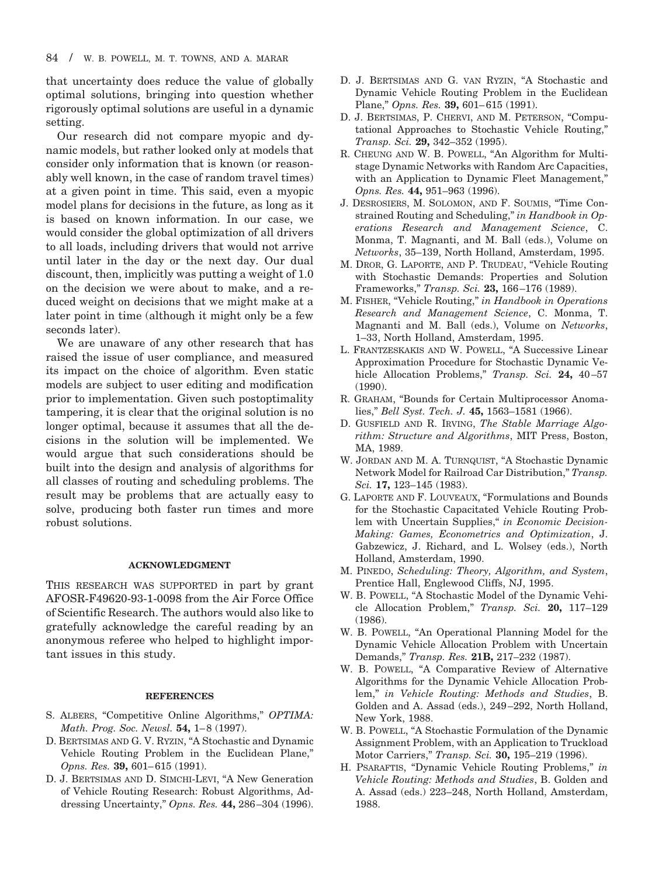that uncertainty does reduce the value of globally optimal solutions, bringing into question whether rigorously optimal solutions are useful in a dynamic setting.

Our research did not compare myopic and dynamic models, but rather looked only at models that consider only information that is known (or reasonably well known, in the case of random travel times) at a given point in time. This said, even a myopic model plans for decisions in the future, as long as it is based on known information. In our case, we would consider the global optimization of all drivers to all loads, including drivers that would not arrive until later in the day or the next day. Our dual discount, then, implicitly was putting a weight of 1.0 on the decision we were about to make, and a reduced weight on decisions that we might make at a later point in time (although it might only be a few seconds later).

We are unaware of any other research that has raised the issue of user compliance, and measured its impact on the choice of algorithm. Even static models are subject to user editing and modification prior to implementation. Given such postoptimality tampering, it is clear that the original solution is no longer optimal, because it assumes that all the decisions in the solution will be implemented. We would argue that such considerations should be built into the design and analysis of algorithms for all classes of routing and scheduling problems. The result may be problems that are actually easy to solve, producing both faster run times and more robust solutions.

#### **ACKNOWLEDGMENT**

THIS RESEARCH WAS SUPPORTED in part by grant AFOSR-F49620-93-1-0098 from the Air Force Office of Scientific Research. The authors would also like to gratefully acknowledge the careful reading by an anonymous referee who helped to highlight important issues in this study.

#### **REFERENCES**

- S. ALBERS, "Competitive Online Algorithms," *OPTIMA: Math. Prog. Soc. Newsl.* **54,** 1–8 (1997).
- D. BERTSIMAS AND G. V. RYZIN, "A Stochastic and Dynamic Vehicle Routing Problem in the Euclidean Plane," *Opns. Res.* **39,** 601–615 (1991).
- D. J. BERTSIMAS AND D. SIMCHI-LEVI, "A New Generation of Vehicle Routing Research: Robust Algorithms, Addressing Uncertainty," *Opns. Res.* **44,** 286–304 (1996).
- D. J. BERTSIMAS AND G. VAN RYZIN, "A Stochastic and Dynamic Vehicle Routing Problem in the Euclidean Plane," *Opns. Res.* **39,** 601–615 (1991).
- D. J. BERTSIMAS, P. CHERVI, AND M. PETERSON, "Computational Approaches to Stochastic Vehicle Routing," *Transp. Sci.* **29,** 342–352 (1995).
- R. CHEUNG AND W. B. POWELL, "An Algorithm for Multistage Dynamic Networks with Random Arc Capacities, with an Application to Dynamic Fleet Management," *Opns. Res.* **44,** 951–963 (1996).
- J. DESROSIERS, M. SOLOMON, AND F. SOUMIS, "Time Constrained Routing and Scheduling," *in Handbook in Operations Research and Management Science*, C. Monma, T. Magnanti, and M. Ball (eds.), Volume on *Networks*, 35–139, North Holland, Amsterdam, 1995.
- M. DROR, G. LAPORTE, AND P. TRUDEAU, "Vehicle Routing with Stochastic Demands: Properties and Solution Frameworks," *Transp. Sci.* **23,** 166–176 (1989).
- M. FISHER, "Vehicle Routing," *in Handbook in Operations Research and Management Science*, C. Monma, T. Magnanti and M. Ball (eds.), Volume on *Networks*, 1–33, North Holland, Amsterdam, 1995.
- L. FRANTZESKAKIS AND W. POWELL, "A Successive Linear Approximation Procedure for Stochastic Dynamic Vehicle Allocation Problems," *Transp. Sci.* **24,** 40–57 (1990).
- R. GRAHAM, "Bounds for Certain Multiprocessor Anomalies," *Bell Syst. Tech. J.* **45,** 1563–1581 (1966).
- D. GUSFIELD AND R. IRVING, *The Stable Marriage Algorithm: Structure and Algorithms*, MIT Press, Boston, MA, 1989.
- W. JORDAN AND M. A. TURNQUIST, "A Stochastic Dynamic Network Model for Railroad Car Distribution," *Transp. Sci.* **17,** 123–145 (1983).
- G. LAPORTE AND F. LOUVEAUX, "Formulations and Bounds for the Stochastic Capacitated Vehicle Routing Problem with Uncertain Supplies," *in Economic Decision-Making: Games, Econometrics and Optimization*, J. Gabzewicz, J. Richard, and L. Wolsey (eds.), North Holland, Amsterdam, 1990.
- M. PINEDO, *Scheduling: Theory, Algorithm, and System*, Prentice Hall, Englewood Cliffs, NJ, 1995.
- W. B. POWELL, "A Stochastic Model of the Dynamic Vehicle Allocation Problem," *Transp. Sci.* **20,** 117–129 (1986).
- W. B. POWELL, "An Operational Planning Model for the Dynamic Vehicle Allocation Problem with Uncertain Demands," *Transp. Res.* **21B,** 217–232 (1987).
- W. B. POWELL, "A Comparative Review of Alternative Algorithms for the Dynamic Vehicle Allocation Problem," *in Vehicle Routing: Methods and Studies*, B. Golden and A. Assad (eds.), 249–292, North Holland, New York, 1988.
- W. B. POWELL, "A Stochastic Formulation of the Dynamic Assignment Problem, with an Application to Truckload Motor Carriers," *Transp. Sci.* **30,** 195–219 (1996).
- H. PSARAFTIS, "Dynamic Vehicle Routing Problems," *in Vehicle Routing: Methods and Studies*, B. Golden and A. Assad (eds.) 223–248, North Holland, Amsterdam, 1988.